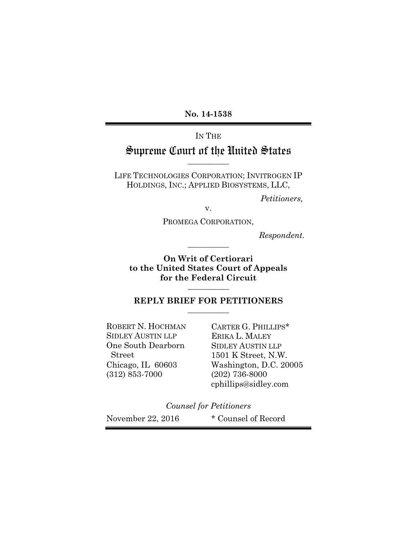**No. 14-1538**

# IN THE Supreme Court of the United States

LIFE TECHNOLOGIES CORPORATION; INVITROGEN IP HOLDINGS, INC.; APPLIED BIOSYSTEMS, LLC,

**\_\_\_\_\_\_\_\_\_\_\_**

*Petitioners,*

v.

PROMEGA CORPORATION,

**\_\_\_\_\_\_\_\_\_\_\_**

*Respondent.*

**On Writ of Certiorari to the United States Court of Appeals for the Federal Circuit**

#### **REPLY BRIEF FOR PETITIONERS \_\_\_\_\_\_\_\_\_\_\_**

**\_\_\_\_\_\_\_\_\_\_\_**

ROBERT N. HOCHMAN CARTER G. PHILLIPS\* SIDLEY AUSTIN LLP ERIKA L. MALEY One South Dearborn SIDLEY AUSTIN LLP (312) 853-7000 (202) 736-8000

Street 1501 K Street, N.W. Chicago, IL 60603 Washington, D.C. 20005 cphillips@sidley.com

*Counsel for Petitioners*

November 22, 2016 \* Counsel of Record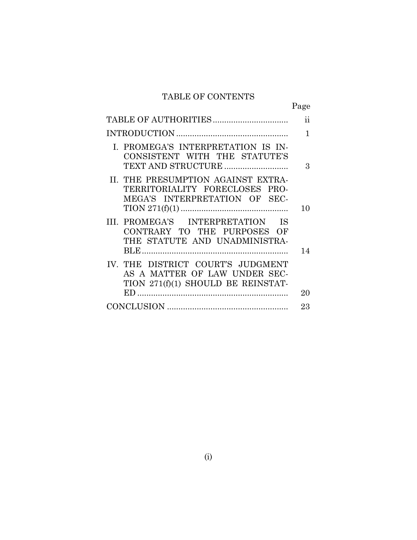# TABLE OF CONTENTS

|                                                                                                          | Page                |
|----------------------------------------------------------------------------------------------------------|---------------------|
|                                                                                                          | $\ddot{\textbf{i}}$ |
|                                                                                                          | 1                   |
| I. PROMEGA'S INTERPRETATION IS IN-<br>CONSISTENT WITH THE STATUTE'S                                      | 3                   |
| II. THE PRESUMPTION AGAINST EXTRA-<br>TERRITORIALITY FORECLOSES PRO-<br>MEGA'S INTERPRETATION OF SEC-    | 10                  |
| III. PROMEGA'S INTERPRETATION IS<br>CONTRARY TO THE PURPOSES OF<br>THE STATUTE AND UNADMINISTRA-         | 14                  |
| IV. THE DISTRICT COURT'S JUDGMENT<br>AS A MATTER OF LAW UNDER SEC-<br>TION 271(f)(1) SHOULD BE REINSTAT- | 20                  |
|                                                                                                          | 23                  |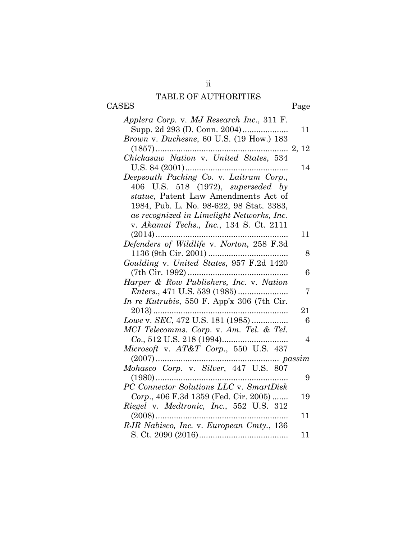# TABLE OF AUTHORITIES

ii

CASES Page

| Applera Corp. v. MJ Research Inc., 311 F.                                                                                           |    |
|-------------------------------------------------------------------------------------------------------------------------------------|----|
| Supp. 2d 293 (D. Conn. 2004)                                                                                                        | 11 |
| Brown v. Duchesne, 60 U.S. (19 How.) 183                                                                                            |    |
|                                                                                                                                     |    |
|                                                                                                                                     |    |
|                                                                                                                                     | 14 |
| Deepsouth Packing Co. v. Laitram Corp.,                                                                                             |    |
| 406 U.S. 518 (1972), <i>superseded</i> by                                                                                           |    |
| statue, Patent Law Amendments Act of                                                                                                |    |
| 1984, Pub. L. No. 98-622, 98 Stat. 3383,                                                                                            |    |
| as recognized in Limelight Networks, Inc.                                                                                           |    |
| v. Akamai Techs., Inc., 134 S. Ct. 2111                                                                                             |    |
|                                                                                                                                     | 11 |
| Defenders of Wildlife v. Norton, 258 F.3d                                                                                           |    |
|                                                                                                                                     | 8  |
| Goulding v. United States, 957 F.2d 1420                                                                                            |    |
|                                                                                                                                     | 6  |
| Harper & Row Publishers, Inc. v. Nation                                                                                             |    |
|                                                                                                                                     | 7  |
| In re Kutrubis, 550 F. App'x 306 (7th Cir.                                                                                          |    |
| $2013)$                                                                                                                             | 21 |
| Lowe v. SEC, 472 U.S. 181 (1985)                                                                                                    | 6  |
| MCI Telecomms. Corp. v. Am. Tel. & Tel.                                                                                             |    |
|                                                                                                                                     | 4  |
| Microsoft v. AT&T Corp., 550 U.S. 437                                                                                               |    |
|                                                                                                                                     |    |
| $[2007) \ldots 2007 \ldots 2007 \ldots 2000$ $\label{eq:1} {\bf \emph{Mohasco}\ \mbox{Corp.}\ \ v.}\ \ \mbox{Silver, 447 U.S. 807}$ |    |
|                                                                                                                                     | 9  |
| PC Connector Solutions LLC v. SmartDisk                                                                                             |    |
| Corp., 406 F.3d 1359 (Fed. Cir. 2005)                                                                                               | 19 |
|                                                                                                                                     |    |
| Riegel v. Medtronic, Inc., 552 U.S. 312                                                                                             | 11 |
| RJR Nabisco, Inc. v. European Cmty., 136                                                                                            |    |
|                                                                                                                                     | 11 |
|                                                                                                                                     |    |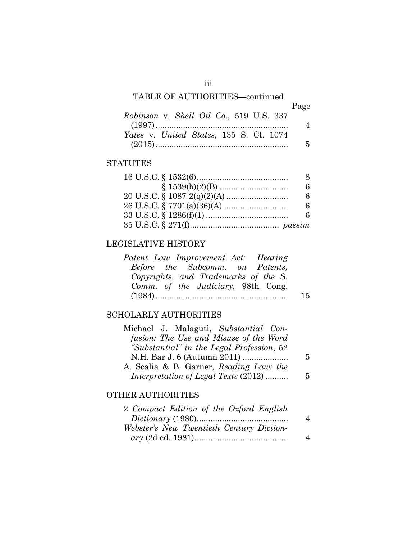# TABLE OF AUTHORITIES—continued

|                                         | Page |
|-----------------------------------------|------|
| Robinson v. Shell Oil Co., 519 U.S. 337 |      |
|                                         |      |
| Yates v. United States, 135 S. Ct. 1074 |      |
|                                         |      |

### **STATUTES**

| 8 |
|---|
| 6 |
| 6 |
| 6 |
| 6 |
|   |

## LEGISLATIVE HISTORY

| Patent Law Improvement Act: Hearing  |    |
|--------------------------------------|----|
| Before the Subcomm. on Patents,      |    |
| Copyrights, and Trademarks of the S. |    |
| Comm. of the Judiciary, 98th Cong.   |    |
|                                      | 15 |

## SCHOLARLY AUTHORITIES

| Michael J. Malaguti, Substantial Con-     |   |
|-------------------------------------------|---|
| fusion: The Use and Misuse of the Word    |   |
| "Substantial" in the Legal Profession, 52 |   |
| N.H. Bar J. 6 (Autumn 2011)               | 5 |
| A. Scalia & B. Garner, Reading Law: the   |   |
| Interpretation of Legal Texts (2012)      | 5 |

## OTHER AUTHORITIES

| 2 Compact Edition of the Oxford English  |   |
|------------------------------------------|---|
|                                          | 4 |
| Webster's New Twentieth Century Diction- |   |
|                                          | 4 |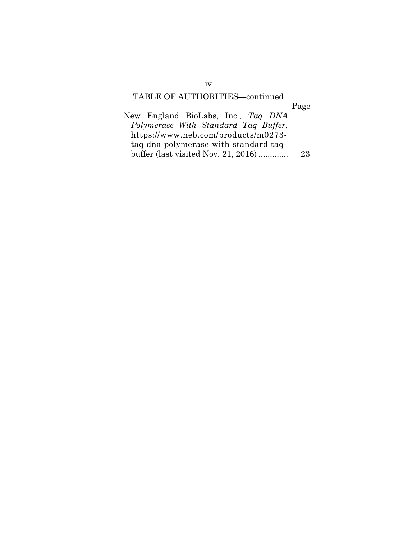# TABLE OF AUTHORITIES—continued

# Page

| New England BioLabs, Inc., Tag DNA    |    |
|---------------------------------------|----|
| Polymerase With Standard Tag Buffer,  |    |
| https://www.neb.com/products/m0273-   |    |
| taq-dna-polymerase-with-standard-taq- |    |
| buffer (last visited Nov. 21, 2016)   | 23 |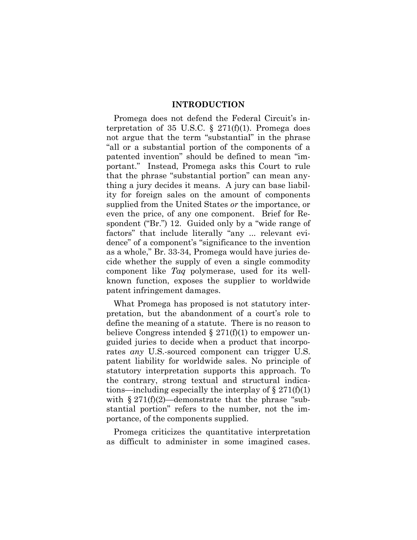#### **INTRODUCTION**

Promega does not defend the Federal Circuit's interpretation of 35 U.S.C.  $\S$  271(f)(1). Promega does not argue that the term "substantial" in the phrase "all or a substantial portion of the components of a patented invention" should be defined to mean "important." Instead, Promega asks this Court to rule that the phrase "substantial portion" can mean anything a jury decides it means. A jury can base liability for foreign sales on the amount of components supplied from the United States *or* the importance, or even the price, of any one component. Brief for Respondent ("Br.") 12. Guided only by a "wide range of factors" that include literally "any ... relevant evidence" of a component's "significance to the invention as a whole," Br. 33-34, Promega would have juries decide whether the supply of even a single commodity component like *Taq* polymerase, used for its wellknown function, exposes the supplier to worldwide patent infringement damages.

What Promega has proposed is not statutory interpretation, but the abandonment of a court's role to define the meaning of a statute. There is no reason to believe Congress intended  $\S 271(f)(1)$  to empower unguided juries to decide when a product that incorporates *any* U.S.-sourced component can trigger U.S. patent liability for worldwide sales. No principle of statutory interpretation supports this approach. To the contrary, strong textual and structural indications—including especially the interplay of  $\S 271(f)(1)$ with  $\S 271(f)(2)$ —demonstrate that the phrase "substantial portion" refers to the number, not the importance, of the components supplied.

Promega criticizes the quantitative interpretation as difficult to administer in some imagined cases.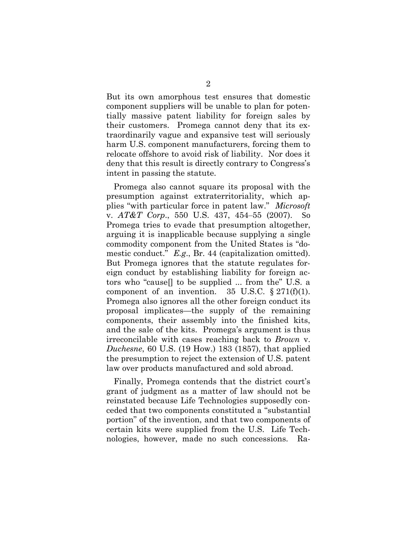But its own amorphous test ensures that domestic component suppliers will be unable to plan for potentially massive patent liability for foreign sales by their customers. Promega cannot deny that its extraordinarily vague and expansive test will seriously harm U.S. component manufacturers, forcing them to relocate offshore to avoid risk of liability. Nor does it deny that this result is directly contrary to Congress's intent in passing the statute.

Promega also cannot square its proposal with the presumption against extraterritoriality, which applies "with particular force in patent law." *Microsoft*  v. *AT&T Corp*., 550 U.S. 437, 454‒55 (2007). So Promega tries to evade that presumption altogether, arguing it is inapplicable because supplying a single commodity component from the United States is "domestic conduct." *E.g*., Br. 44 (capitalization omitted). But Promega ignores that the statute regulates foreign conduct by establishing liability for foreign actors who "cause[] to be supplied ... from the" U.S. a component of an invention. 35 U.S.C.  $\S 271(f)(1)$ . Promega also ignores all the other foreign conduct its proposal implicates—the supply of the remaining components, their assembly into the finished kits, and the sale of the kits. Promega's argument is thus irreconcilable with cases reaching back to *Brown* v. *Duchesne*, 60 U.S. (19 How.) 183 (1857), that applied the presumption to reject the extension of U.S. patent law over products manufactured and sold abroad.

Finally, Promega contends that the district court's grant of judgment as a matter of law should not be reinstated because Life Technologies supposedly conceded that two components constituted a "substantial portion" of the invention, and that two components of certain kits were supplied from the U.S. Life Technologies, however, made no such concessions. Ra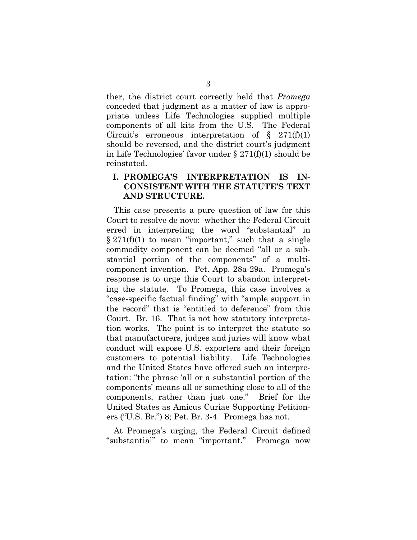ther, the district court correctly held that *Promega* conceded that judgment as a matter of law is appropriate unless Life Technologies supplied multiple components of all kits from the U.S. The Federal Circuit's erroneous interpretation of  $\S$  271(f)(1) should be reversed, and the district court's judgment in Life Technologies' favor under § 271(f)(1) should be reinstated.

### **I. PROMEGA'S INTERPRETATION IS IN-CONSISTENT WITH THE STATUTE'S TEXT AND STRUCTURE.**

This case presents a pure question of law for this Court to resolve de novo: whether the Federal Circuit erred in interpreting the word "substantial" in  $\S 271(f)(1)$  to mean "important," such that a single commodity component can be deemed "all or a substantial portion of the components" of a multicomponent invention. Pet. App. 28a-29a. Promega's response is to urge this Court to abandon interpreting the statute. To Promega, this case involves a "case-specific factual finding" with "ample support in the record" that is "entitled to deference" from this Court. Br. 16. That is not how statutory interpretation works. The point is to interpret the statute so that manufacturers, judges and juries will know what conduct will expose U.S. exporters and their foreign customers to potential liability. Life Technologies and the United States have offered such an interpretation: "the phrase 'all or a substantial portion of the components' means all or something close to all of the components, rather than just one." Brief for the United States as Amicus Curiae Supporting Petitioners ("U.S. Br.") 8; Pet. Br. 3-4. Promega has not.

At Promega's urging, the Federal Circuit defined "substantial" to mean "important." Promega now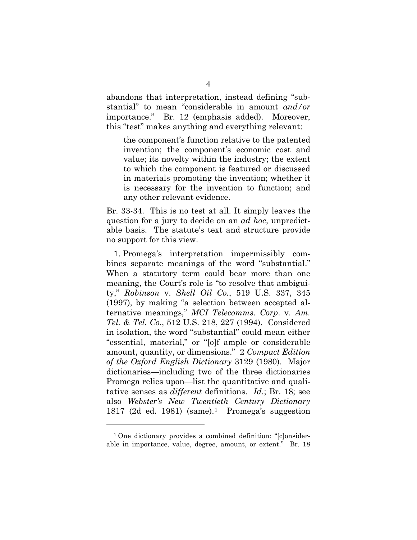abandons that interpretation, instead defining "substantial" to mean "considerable in amount *and/or* importance." Br. 12 (emphasis added). Moreover, this "test" makes anything and everything relevant:

the component's function relative to the patented invention; the component's economic cost and value; its novelty within the industry; the extent to which the component is featured or discussed in materials promoting the invention; whether it is necessary for the invention to function; and any other relevant evidence.

Br. 33-34. This is no test at all. It simply leaves the question for a jury to decide on an *ad hoc*, unpredictable basis. The statute's text and structure provide no support for this view.

1. Promega's interpretation impermissibly combines separate meanings of the word "substantial." When a statutory term could bear more than one meaning, the Court's role is "to resolve that ambiguity," *Robinson* v. *Shell Oil Co.*, 519 U.S. 337, 345 (1997), by making "a selection between accepted alternative meanings," *MCI Telecomms. Corp*. v. *Am. Tel. & Tel. Co*., 512 U.S. 218, 227 (1994). Considered in isolation, the word "substantial" could mean either "essential, material," or "[o]f ample or considerable amount, quantity, or dimensions." 2 *Compact Edition of the Oxford English Dictionary* 3129 (1980). Major dictionaries—including two of the three dictionaries Promega relies upon—list the quantitative and qualitative senses as *different* definitions. *Id*.; Br. 18; see also *Webster's New Twentieth Century Dictionary* 1817 (2d ed. 1981) (same).<sup>1</sup> Promega's suggestion

 $\overline{a}$ 

<sup>1</sup> One dictionary provides a combined definition: "[c]onsiderable in importance, value, degree, amount, or extent." Br. 18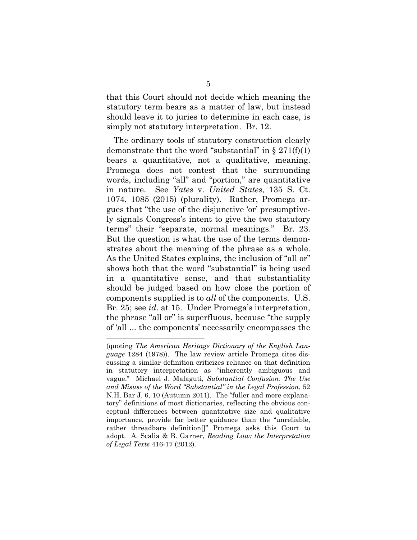that this Court should not decide which meaning the statutory term bears as a matter of law, but instead should leave it to juries to determine in each case, is simply not statutory interpretation. Br. 12.

The ordinary tools of statutory construction clearly demonstrate that the word "substantial" in  $\S 271(f)(1)$ bears a quantitative, not a qualitative, meaning. Promega does not contest that the surrounding words, including "all" and "portion," are quantitative in nature. See *Yates* v. *United States*, 135 S. Ct. 1074, 1085 (2015) (plurality). Rather, Promega argues that "the use of the disjunctive 'or' presumptively signals Congress's intent to give the two statutory terms" their "separate, normal meanings." Br. 23. But the question is what the use of the terms demonstrates about the meaning of the phrase as a whole. As the United States explains, the inclusion of "all or" shows both that the word "substantial" is being used in a quantitative sense, and that substantiality should be judged based on how close the portion of components supplied is to *all* of the components. U.S. Br. 25; see *id*. at 15. Under Promega's interpretation, the phrase "all or" is superfluous, because "the supply of 'all ... the components' necessarily encompasses the

 <sup>(</sup>quoting *The American Heritage Dictionary of the English Language* 1284 (1978)). The law review article Promega cites discussing a similar definition criticizes reliance on that definition in statutory interpretation as "inherently ambiguous and vague." Michael J. Malaguti, *Substantial Confusion: The Use and Misuse of the Word "Substantial" in the Legal Profession*, 52 N.H. Bar J. 6, 10 (Autumn 2011). The "fuller and more explanatory" definitions of most dictionaries, reflecting the obvious conceptual differences between quantitative size and qualitative importance, provide far better guidance than the "unreliable, rather threadbare definition[]" Promega asks this Court to adopt. A. Scalia & B. Garner, *Reading Law: the Interpretation of Legal Texts* 416-17 (2012).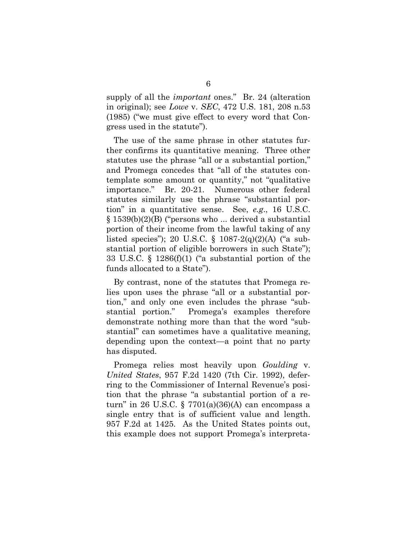supply of all the *important* ones." Br. 24 (alteration in original); see *Lowe* v. *SEC*, 472 U.S. 181, 208 n.53 (1985) ("we must give effect to every word that Congress used in the statute").

The use of the same phrase in other statutes further confirms its quantitative meaning. Three other statutes use the phrase "all or a substantial portion," and Promega concedes that "all of the statutes contemplate some amount or quantity," not "qualitative importance." Br. 20-21. Numerous other federal statutes similarly use the phrase "substantial portion" in a quantitative sense. See, *e.g*., 16 U.S.C. § 1539(b)(2)(B) ("persons who ... derived a substantial portion of their income from the lawful taking of any listed species"); 20 U.S.C. § 1087-2(q)(2)(A) ("a substantial portion of eligible borrowers in such State"); 33 U.S.C. § 1286(f)(1) ("a substantial portion of the funds allocated to a State").

By contrast, none of the statutes that Promega relies upon uses the phrase "all or a substantial portion," and only one even includes the phrase "substantial portion." Promega's examples therefore demonstrate nothing more than that the word "substantial" can sometimes have a qualitative meaning, depending upon the context—a point that no party has disputed.

Promega relies most heavily upon *Goulding* v. *United States*, 957 F.2d 1420 (7th Cir. 1992), deferring to the Commissioner of Internal Revenue's position that the phrase "a substantial portion of a return" in 26 U.S.C. § 7701(a)(36)(A) can encompass a single entry that is of sufficient value and length. 957 F.2d at 1425. As the United States points out, this example does not support Promega's interpreta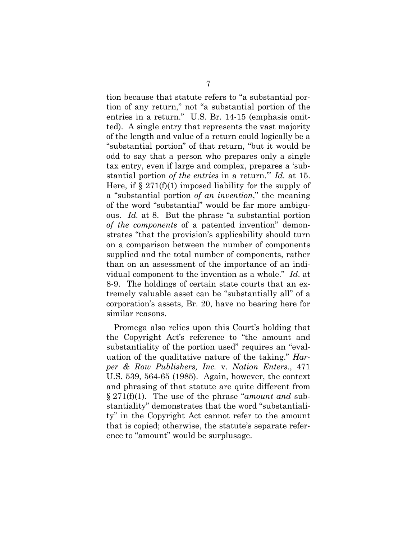tion because that statute refers to "a substantial portion of any return," not "a substantial portion of the entries in a return." U.S. Br. 14-15 (emphasis omitted). A single entry that represents the vast majority of the length and value of a return could logically be a "substantial portion" of that return, "but it would be odd to say that a person who prepares only a single tax entry, even if large and complex, prepares a 'substantial portion *of the entries* in a return.'" *Id.* at 15. Here, if  $\S 271(f)(1)$  imposed liability for the supply of a "substantial portion *of an invention*," the meaning of the word "substantial" would be far more ambiguous. *Id.* at 8. But the phrase "a substantial portion *of the components* of a patented invention" demonstrates "that the provision's applicability should turn on a comparison between the number of components supplied and the total number of components, rather than on an assessment of the importance of an individual component to the invention as a whole." *Id*. at 8-9. The holdings of certain state courts that an extremely valuable asset can be "substantially all" of a corporation's assets, Br. 20, have no bearing here for similar reasons.

Promega also relies upon this Court's holding that the Copyright Act's reference to "the amount and substantiality of the portion used" requires an "evaluation of the qualitative nature of the taking." *Harper & Row Publishers, Inc.* v. *Nation Enters.*, 471 U.S. 539, 564-65 (1985). Again, however, the context and phrasing of that statute are quite different from § 271(f)(1). The use of the phrase "*amount and* substantiality" demonstrates that the word "substantiality" in the Copyright Act cannot refer to the amount that is copied; otherwise, the statute's separate reference to "amount" would be surplusage.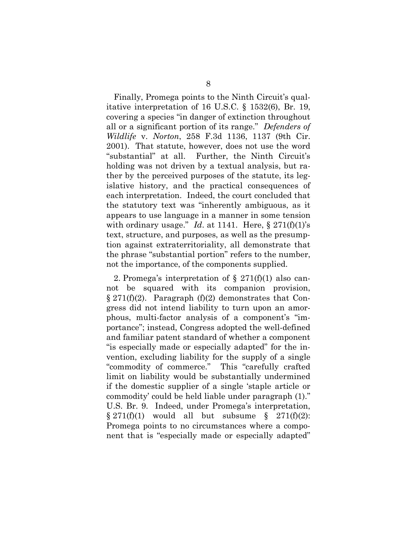Finally, Promega points to the Ninth Circuit's qualitative interpretation of 16 U.S.C. § 1532(6), Br. 19, covering a species "in danger of extinction throughout all or a significant portion of its range." *Defenders of Wildlife* v. *Norton*, 258 F.3d 1136, 1137 (9th Cir. 2001). That statute, however, does not use the word "substantial" at all. Further, the Ninth Circuit's holding was not driven by a textual analysis, but rather by the perceived purposes of the statute, its legislative history, and the practical consequences of each interpretation. Indeed, the court concluded that the statutory text was "inherently ambiguous, as it appears to use language in a manner in some tension with ordinary usage." *Id.* at 1141. Here,  $\S 271(f)(1)$ 's text, structure, and purposes, as well as the presumption against extraterritoriality, all demonstrate that the phrase "substantial portion" refers to the number, not the importance, of the components supplied.

2. Promega's interpretation of  $\S 271(f)(1)$  also cannot be squared with its companion provision,  $\S 271(f)(2)$ . Paragraph  $(f)(2)$  demonstrates that Congress did not intend liability to turn upon an amorphous, multi-factor analysis of a component's "importance"; instead, Congress adopted the well-defined and familiar patent standard of whether a component "is especially made or especially adapted" for the invention, excluding liability for the supply of a single "commodity of commerce." This "carefully crafted limit on liability would be substantially undermined if the domestic supplier of a single 'staple article or commodity' could be held liable under paragraph (1)." U.S. Br. 9. Indeed, under Promega's interpretation,  $\S 271(f)(1)$  would all but subsume  $\S 271(f)(2)$ : Promega points to no circumstances where a component that is "especially made or especially adapted"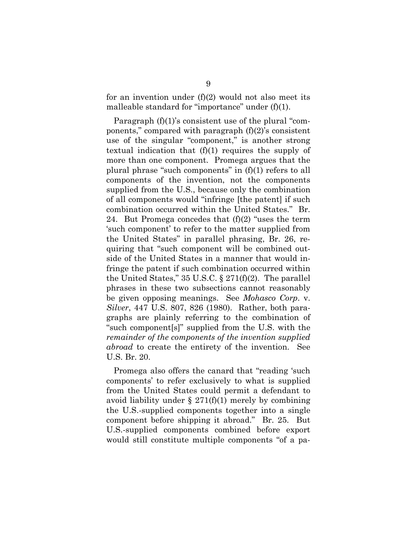for an invention under  $(f)(2)$  would not also meet its malleable standard for "importance" under (f)(1).

Paragraph (f)(1)'s consistent use of the plural "components," compared with paragraph  $(f)(2)$ 's consistent use of the singular "component," is another strong textual indication that (f)(1) requires the supply of more than one component. Promega argues that the plural phrase "such components" in (f)(1) refers to all components of the invention, not the components supplied from the U.S., because only the combination of all components would "infringe [the patent] if such combination occurred within the United States." Br. 24. But Promega concedes that  $(f)(2)$  "uses the term 'such component' to refer to the matter supplied from the United States" in parallel phrasing, Br. 26, requiring that "such component will be combined outside of the United States in a manner that would infringe the patent if such combination occurred within the United States," 35 U.S.C.  $\S 271(f)(2)$ . The parallel phrases in these two subsections cannot reasonably be given opposing meanings. See *Mohasco Corp*. v. *Silver*, 447 U.S. 807, 826 (1980). Rather, both paragraphs are plainly referring to the combination of "such component[s]" supplied from the U.S. with the *remainder of the components of the invention supplied abroad* to create the entirety of the invention. See U.S. Br. 20.

Promega also offers the canard that "reading 'such components' to refer exclusively to what is supplied from the United States could permit a defendant to avoid liability under  $\S 271(f)(1)$  merely by combining the U.S.-supplied components together into a single component before shipping it abroad." Br. 25. But U.S.-supplied components combined before export would still constitute multiple components "of a pa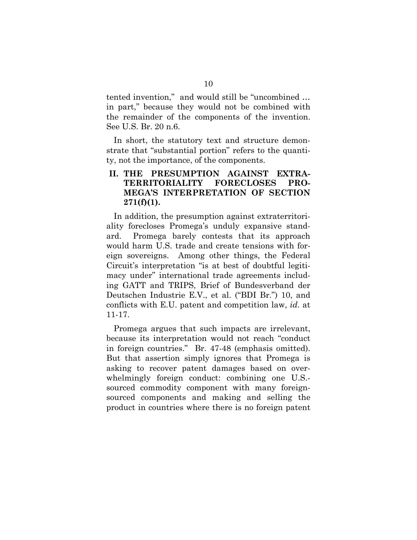tented invention," and would still be "uncombined … in part," because they would not be combined with the remainder of the components of the invention. See U.S. Br. 20 n.6.

In short, the statutory text and structure demonstrate that "substantial portion" refers to the quantity, not the importance, of the components.

### **II. THE PRESUMPTION AGAINST EXTRA-TERRITORIALITY FORECLOSES PRO-MEGA'S INTERPRETATION OF SECTION 271(f)(1).**

In addition, the presumption against extraterritoriality forecloses Promega's unduly expansive standard. Promega barely contests that its approach would harm U.S. trade and create tensions with foreign sovereigns. Among other things, the Federal Circuit's interpretation "is at best of doubtful legitimacy under" international trade agreements including GATT and TRIPS, Brief of Bundesverband der Deutschen Industrie E.V., et al. ("BDI Br.") 10, and conflicts with E.U. patent and competition law, *id*. at 11-17.

Promega argues that such impacts are irrelevant, because its interpretation would not reach "conduct in foreign countries." Br. 47-48 (emphasis omitted). But that assertion simply ignores that Promega is asking to recover patent damages based on overwhelmingly foreign conduct: combining one U.S. sourced commodity component with many foreignsourced components and making and selling the product in countries where there is no foreign patent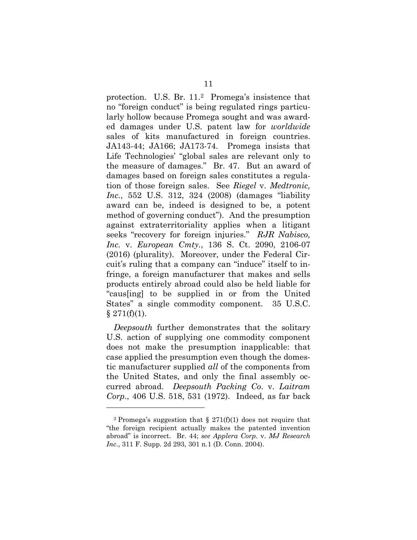protection. U.S. Br. 11.2 Promega's insistence that no "foreign conduct" is being regulated rings particularly hollow because Promega sought and was awarded damages under U.S. patent law for *worldwide* sales of kits manufactured in foreign countries. JA143-44; JA166; JA173-74. Promega insists that Life Technologies' "global sales are relevant only to the measure of damages." Br. 47. But an award of damages based on foreign sales constitutes a regulation of those foreign sales. See *Riegel* v. *Medtronic, Inc.*, 552 U.S. 312, 324 (2008) (damages "liability award can be, indeed is designed to be, a potent method of governing conduct"). And the presumption against extraterritoriality applies when a litigant seeks "recovery for foreign injuries." *RJR Nabisco, Inc.* v. *European Cmty.*, 136 S. Ct. 2090, 2106-07 (2016) (plurality). Moreover, under the Federal Circuit's ruling that a company can "induce" itself to infringe, a foreign manufacturer that makes and sells products entirely abroad could also be held liable for "caus[ing] to be supplied in or from the United States" a single commodity component. 35 U.S.C.  $§$  271(f)(1).

*Deepsouth* further demonstrates that the solitary U.S. action of supplying one commodity component does not make the presumption inapplicable: that case applied the presumption even though the domestic manufacturer supplied *all* of the components from the United States, and only the final assembly occurred abroad. *Deepsouth Packing Co*. v. *Laitram Corp*., 406 U.S. 518, 531 (1972). Indeed, as far back

 $\overline{a}$ 

<sup>&</sup>lt;sup>2</sup> Promega's suggestion that  $\S$  271(f)(1) does not require that "the foreign recipient actually makes the patented invention abroad" is incorrect. Br. 44; *see Applera Corp.* v. *MJ Research Inc*., 311 F. Supp. 2d 293, 301 n.1 (D. Conn. 2004).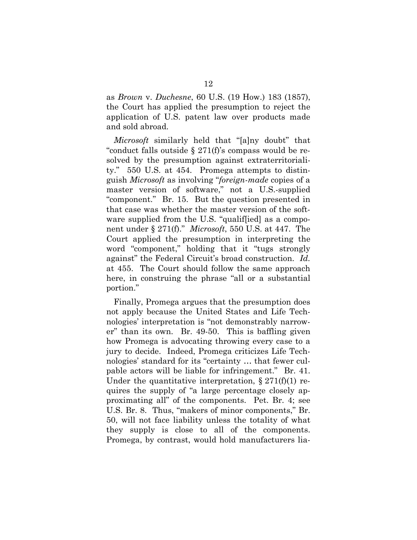as *Brown* v. *Duchesne*, 60 U.S. (19 How.) 183 (1857), the Court has applied the presumption to reject the application of U.S. patent law over products made and sold abroad.

*Microsoft* similarly held that "[a]ny doubt" that "conduct falls outside § 271(f)'s compass would be resolved by the presumption against extraterritoriality." 550 U.S. at 454. Promega attempts to distinguish *Microsoft* as involving "*foreign-made* copies of a master version of software," not a U.S.-supplied "component." Br. 15. But the question presented in that case was whether the master version of the software supplied from the U.S. "qualiffied] as a component under § 271(f)." *Microsoft*, 550 U.S. at 447. The Court applied the presumption in interpreting the word "component," holding that it "tugs strongly against" the Federal Circuit's broad construction. *Id.* at 455. The Court should follow the same approach here, in construing the phrase "all or a substantial portion."

Finally, Promega argues that the presumption does not apply because the United States and Life Technologies' interpretation is "not demonstrably narrower" than its own. Br. 49-50. This is baffling given how Promega is advocating throwing every case to a jury to decide. Indeed, Promega criticizes Life Technologies' standard for its "certainty … that fewer culpable actors will be liable for infringement." Br. 41. Under the quantitative interpretation,  $\S 271(f)(1)$  requires the supply of "a large percentage closely approximating all" of the components. Pet. Br. 4; see U.S. Br. 8. Thus, "makers of minor components," Br. 50, will not face liability unless the totality of what they supply is close to all of the components. Promega, by contrast, would hold manufacturers lia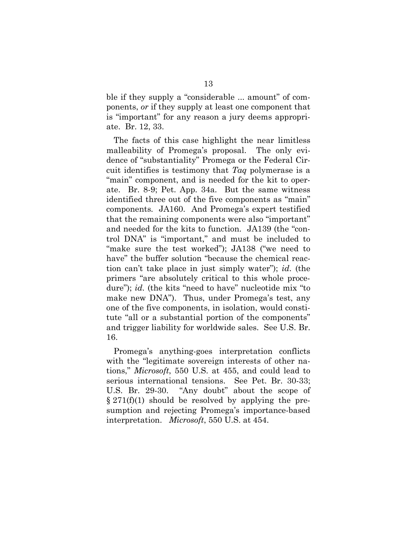ble if they supply a "considerable ... amount" of components, *or* if they supply at least one component that is "important" for any reason a jury deems appropriate. Br. 12, 33.

The facts of this case highlight the near limitless malleability of Promega's proposal. The only evidence of "substantiality" Promega or the Federal Circuit identifies is testimony that *Taq* polymerase is a "main" component, and is needed for the kit to operate. Br. 8-9; Pet. App. 34a. But the same witness identified three out of the five components as "main" components. JA160. And Promega's expert testified that the remaining components were also "important" and needed for the kits to function. JA139 (the "control DNA" is "important," and must be included to "make sure the test worked"); JA138 ("we need to have" the buffer solution "because the chemical reaction can't take place in just simply water"); *id*. (the primers "are absolutely critical to this whole procedure"); *id.* (the kits "need to have" nucleotide mix "to make new DNA"). Thus, under Promega's test, any one of the five components, in isolation, would constitute "all or a substantial portion of the components" and trigger liability for worldwide sales. See U.S. Br. 16.

Promega's anything-goes interpretation conflicts with the "legitimate sovereign interests of other nations," *Microsoft*, 550 U.S. at 455, and could lead to serious international tensions. See Pet. Br. 30-33; U.S. Br. 29-30. "Any doubt" about the scope of  $\S 271(f)(1)$  should be resolved by applying the presumption and rejecting Promega's importance-based interpretation. *Microsoft*, 550 U.S. at 454.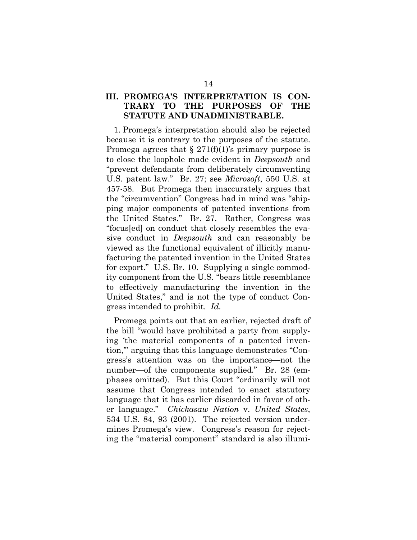### **III. PROMEGA'S INTERPRETATION IS CON-TRARY TO THE PURPOSES OF THE STATUTE AND UNADMINISTRABLE.**

1. Promega's interpretation should also be rejected because it is contrary to the purposes of the statute. Promega agrees that  $\S 271(f)(1)$ 's primary purpose is to close the loophole made evident in *Deepsouth* and "prevent defendants from deliberately circumventing U.S. patent law." Br. 27; see *Microsoft*, 550 U.S. at 457-58. But Promega then inaccurately argues that the "circumvention" Congress had in mind was "shipping major components of patented inventions from the United States." Br. 27. Rather, Congress was "focus[ed] on conduct that closely resembles the evasive conduct in *Deepsouth* and can reasonably be viewed as the functional equivalent of illicitly manufacturing the patented invention in the United States for export." U.S. Br. 10. Supplying a single commodity component from the U.S. "bears little resemblance to effectively manufacturing the invention in the United States," and is not the type of conduct Congress intended to prohibit. *Id.*

Promega points out that an earlier, rejected draft of the bill "would have prohibited a party from supplying 'the material components of a patented invention,'" arguing that this language demonstrates "Congress's attention was on the importance—not the number—of the components supplied." Br. 28 (emphases omitted). But this Court "ordinarily will not assume that Congress intended to enact statutory language that it has earlier discarded in favor of other language." *Chickasaw Nation* v. *United States*, 534 U.S. 84, 93 (2001). The rejected version undermines Promega's view. Congress's reason for rejecting the "material component" standard is also illumi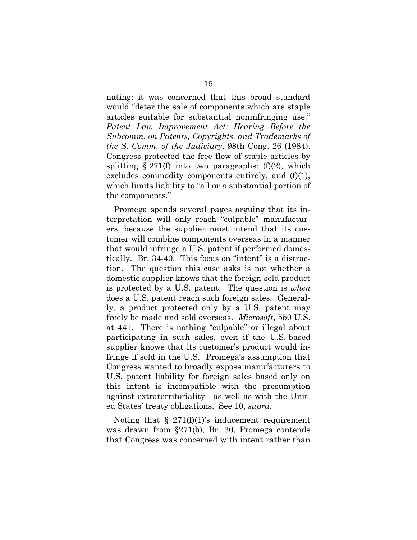nating: it was concerned that this broad standard would "deter the sale of components which are staple articles suitable for substantial noninfringing use." *Patent Law Improvement Act: Hearing Before the Subcomm. on Patents, Copyrights, and Trademarks of the S. Comm. of the Judiciary*, 98th Cong. 26 (1984). Congress protected the free flow of staple articles by splitting  $\S 271(f)$  into two paragraphs: (f)(2), which excludes commodity components entirely, and  $(f)(1)$ , which limits liability to "all or a substantial portion of the components."

Promega spends several pages arguing that its interpretation will only reach "culpable" manufacturers, because the supplier must intend that its customer will combine components overseas in a manner that would infringe a U.S. patent if performed domestically. Br. 34-40. This focus on "intent" is a distraction. The question this case asks is not whether a domestic supplier knows that the foreign-sold product is protected by a U.S. patent. The question is *when*  does a U.S. patent reach such foreign sales. Generally, a product protected only by a U.S. patent may freely be made and sold overseas. *Microsoft*, 550 U.S. at 441. There is nothing "culpable" or illegal about participating in such sales, even if the U.S.-based supplier knows that its customer's product would infringe if sold in the U.S. Promega's assumption that Congress wanted to broadly expose manufacturers to U.S. patent liability for foreign sales based only on this intent is incompatible with the presumption against extraterritoriality—as well as with the United States' treaty obligations. See 10, *supra*.

Noting that  $\S 271(f)(1)$ 's inducement requirement was drawn from §271(b), Br. 30, Promega contends that Congress was concerned with intent rather than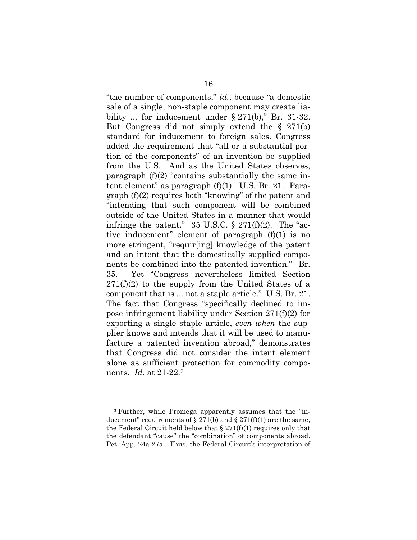"the number of components," *id.*, because "a domestic sale of a single, non-staple component may create liability ... for inducement under  $\S 271(b)$ ," Br. 31-32. But Congress did not simply extend the § 271(b) standard for inducement to foreign sales. Congress added the requirement that "all or a substantial portion of the components" of an invention be supplied from the U.S. And as the United States observes, paragraph (f)(2) "contains substantially the same intent element" as paragraph (f)(1). U.S. Br. 21. Paragraph (f)(2) requires both "knowing" of the patent and "intending that such component will be combined outside of the United States in a manner that would infringe the patent."  $35 \text{ U.S.C.}$  §  $271(f)(2)$ . The "active inducement" element of paragraph (f)(1) is no more stringent, "requir[ing] knowledge of the patent and an intent that the domestically supplied components be combined into the patented invention." Br. 35. Yet "Congress nevertheless limited Section  $271(f)(2)$  to the supply from the United States of a component that is ... not a staple article." U.S. Br. 21. The fact that Congress "specifically declined to impose infringement liability under Section 271(f)(2) for exporting a single staple article, *even when* the supplier knows and intends that it will be used to manufacture a patented invention abroad," demonstrates that Congress did not consider the intent element alone as sufficient protection for commodity components. *Id.* at 21-22.3

 $\overline{a}$ 

<sup>3</sup> Further, while Promega apparently assumes that the "inducement" requirements of  $\S 271(b)$  and  $\S 271(f)(1)$  are the same, the Federal Circuit held below that  $\S 271(f)(1)$  requires only that the defendant "cause" the "combination" of components abroad. Pet. App. 24a-27a. Thus, the Federal Circuit's interpretation of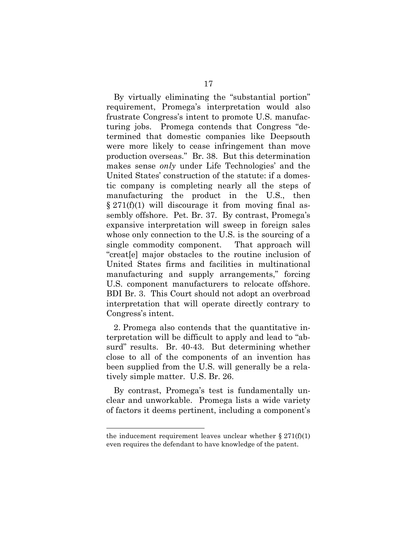By virtually eliminating the "substantial portion" requirement, Promega's interpretation would also frustrate Congress's intent to promote U.S. manufacturing jobs. Promega contends that Congress "determined that domestic companies like Deepsouth were more likely to cease infringement than move production overseas." Br. 38. But this determination makes sense *only* under Life Technologies' and the United States' construction of the statute: if a domestic company is completing nearly all the steps of manufacturing the product in the U.S., then  $\S 271(f)(1)$  will discourage it from moving final assembly offshore. Pet. Br. 37. By contrast, Promega's expansive interpretation will sweep in foreign sales whose only connection to the U.S. is the sourcing of a single commodity component. That approach will "creat[e] major obstacles to the routine inclusion of United States firms and facilities in multinational manufacturing and supply arrangements," forcing U.S. component manufacturers to relocate offshore. BDI Br. 3. This Court should not adopt an overbroad interpretation that will operate directly contrary to Congress's intent.

2. Promega also contends that the quantitative interpretation will be difficult to apply and lead to "absurd" results. Br. 40-43. But determining whether close to all of the components of an invention has been supplied from the U.S. will generally be a relatively simple matter. U.S. Br. 26.

By contrast, Promega's test is fundamentally unclear and unworkable. Promega lists a wide variety of factors it deems pertinent, including a component's

 $\overline{a}$ 

the inducement requirement leaves unclear whether  $\S 271(f)(1)$ even requires the defendant to have knowledge of the patent.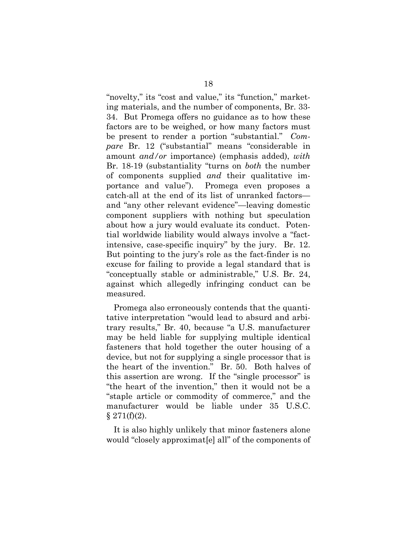"novelty," its "cost and value," its "function," marketing materials, and the number of components, Br. 33- 34. But Promega offers no guidance as to how these factors are to be weighed, or how many factors must be present to render a portion "substantial." *Compare* Br. 12 ("substantial" means "considerable in amount *and/or* importance) (emphasis added), *with* Br. 18-19 (substantiality "turns on *both* the number of components supplied *and* their qualitative importance and value"). Promega even proposes a catch-all at the end of its list of unranked factors and "any other relevant evidence"—leaving domestic component suppliers with nothing but speculation about how a jury would evaluate its conduct. Potential worldwide liability would always involve a "factintensive, case-specific inquiry" by the jury. Br. 12. But pointing to the jury's role as the fact-finder is no excuse for failing to provide a legal standard that is "conceptually stable or administrable," U.S. Br. 24, against which allegedly infringing conduct can be measured.

Promega also erroneously contends that the quantitative interpretation "would lead to absurd and arbitrary results," Br. 40, because "a U.S. manufacturer may be held liable for supplying multiple identical fasteners that hold together the outer housing of a device, but not for supplying a single processor that is the heart of the invention." Br. 50. Both halves of this assertion are wrong. If the "single processor" is "the heart of the invention," then it would not be a "staple article or commodity of commerce," and the manufacturer would be liable under 35 U.S.C.  $§ 271(f)(2).$ 

It is also highly unlikely that minor fasteners alone would "closely approximat[e] all" of the components of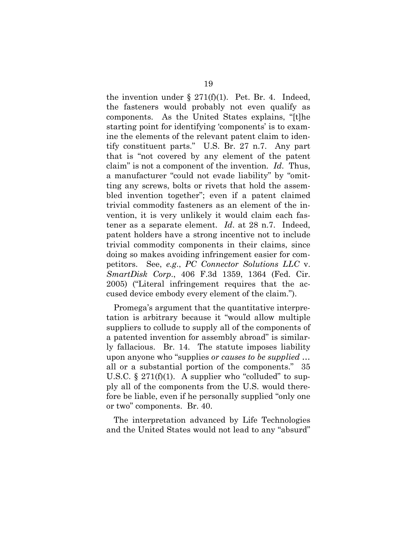the invention under  $\S 271(f)(1)$ . Pet. Br. 4. Indeed, the fasteners would probably not even qualify as components. As the United States explains, "[t]he starting point for identifying 'components' is to examine the elements of the relevant patent claim to identify constituent parts." U.S. Br. 27 n.7. Any part that is "not covered by any element of the patent claim" is not a component of the invention. *Id*. Thus, a manufacturer "could not evade liability" by "omitting any screws, bolts or rivets that hold the assembled invention together"; even if a patent claimed trivial commodity fasteners as an element of the invention, it is very unlikely it would claim each fastener as a separate element. *Id*. at 28 n.7. Indeed, patent holders have a strong incentive not to include trivial commodity components in their claims, since doing so makes avoiding infringement easier for competitors. See, *e.g*., *PC Connector Solutions LLC* v. *SmartDisk Corp*., 406 F.3d 1359, 1364 (Fed. Cir. 2005) ("Literal infringement requires that the accused device embody every element of the claim.").

Promega's argument that the quantitative interpretation is arbitrary because it "would allow multiple suppliers to collude to supply all of the components of a patented invention for assembly abroad" is similarly fallacious. Br. 14. The statute imposes liability upon anyone who "supplies *or causes to be supplied* … all or a substantial portion of the components." 35 U.S.C.  $\S 271(f)(1)$ . A supplier who "colluded" to supply all of the components from the U.S. would therefore be liable, even if he personally supplied "only one or two" components. Br. 40.

The interpretation advanced by Life Technologies and the United States would not lead to any "absurd"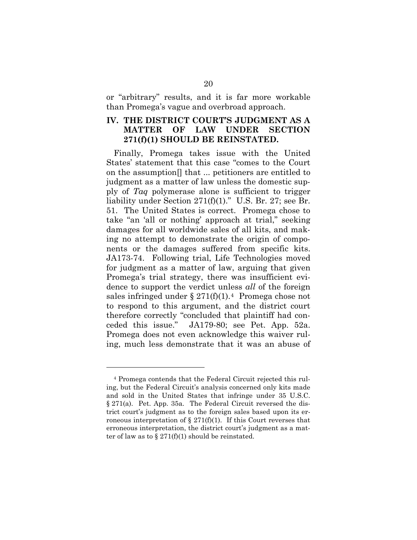or "arbitrary" results, and it is far more workable than Promega's vague and overbroad approach.

### **IV. THE DISTRICT COURT'S JUDGMENT AS A MATTER OF LAW UNDER SECTION 271(f)(1) SHOULD BE REINSTATED.**

Finally, Promega takes issue with the United States' statement that this case "comes to the Court on the assumption[] that ... petitioners are entitled to judgment as a matter of law unless the domestic supply of *Taq* polymerase alone is sufficient to trigger liability under Section 271(f)(1)." U.S. Br. 27; see Br. 51. The United States is correct. Promega chose to take "an 'all or nothing' approach at trial," seeking damages for all worldwide sales of all kits, and making no attempt to demonstrate the origin of components or the damages suffered from specific kits. JA173-74. Following trial, Life Technologies moved for judgment as a matter of law, arguing that given Promega's trial strategy, there was insufficient evidence to support the verdict unless *all* of the foreign sales infringed under  $\S 271(f)(1)$ .<sup>4</sup> Promega chose not to respond to this argument, and the district court therefore correctly "concluded that plaintiff had conceded this issue." JA179-80; see Pet. App. 52a. Promega does not even acknowledge this waiver ruling, much less demonstrate that it was an abuse of

 $\overline{a}$ 

<sup>4</sup> Promega contends that the Federal Circuit rejected this ruling, but the Federal Circuit's analysis concerned only kits made and sold in the United States that infringe under 35 U.S.C. § 271(a). Pet. App. 35a. The Federal Circuit reversed the district court's judgment as to the foreign sales based upon its erroneous interpretation of § 271(f)(1). If this Court reverses that erroneous interpretation, the district court's judgment as a matter of law as to  $\S 271(f)(1)$  should be reinstated.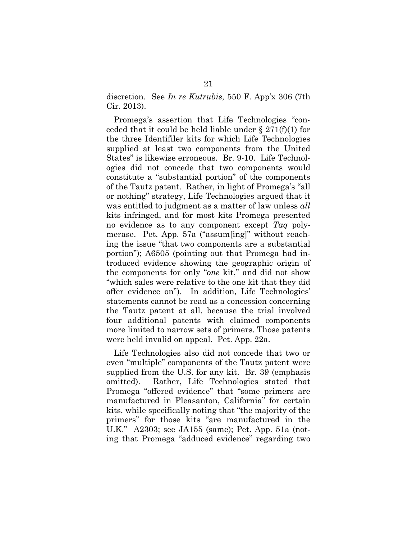discretion. See *In re Kutrubis*, 550 F. App'x 306 (7th Cir. 2013).

Promega's assertion that Life Technologies "conceded that it could be held liable under  $\S 271(f)(1)$  for the three Identifiler kits for which Life Technologies supplied at least two components from the United States" is likewise erroneous. Br. 9-10. Life Technologies did not concede that two components would constitute a "substantial portion" of the components of the Tautz patent. Rather, in light of Promega's "all or nothing" strategy, Life Technologies argued that it was entitled to judgment as a matter of law unless *all* kits infringed, and for most kits Promega presented no evidence as to any component except *Taq* polymerase. Pet. App. 57a ("assum[ing]" without reaching the issue "that two components are a substantial portion"); A6505 (pointing out that Promega had introduced evidence showing the geographic origin of the components for only "*one* kit," and did not show "which sales were relative to the one kit that they did offer evidence on"). In addition, Life Technologies' statements cannot be read as a concession concerning the Tautz patent at all, because the trial involved four additional patents with claimed components more limited to narrow sets of primers. Those patents were held invalid on appeal. Pet. App. 22a.

Life Technologies also did not concede that two or even "multiple" components of the Tautz patent were supplied from the U.S. for any kit. Br. 39 (emphasis omitted). Rather, Life Technologies stated that Promega "offered evidence" that "some primers are manufactured in Pleasanton, California" for certain kits, while specifically noting that "the majority of the primers" for those kits "are manufactured in the U.K." A2303; see JA155 (same); Pet. App. 51a (noting that Promega "adduced evidence" regarding two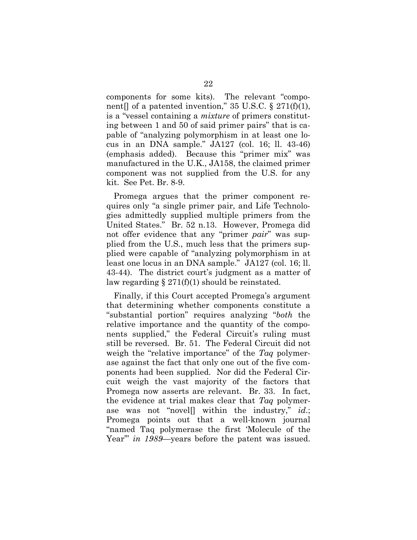components for some kits). The relevant "component[] of a patented invention," 35 U.S.C.  $\S 271(f)(1)$ , is a "vessel containing a *mixture* of primers constituting between 1 and 50 of said primer pairs" that is capable of "analyzing polymorphism in at least one locus in an DNA sample." JA127 (col. 16; ll. 43-46) (emphasis added). Because this "primer mix" was manufactured in the U.K., JA158, the claimed primer component was not supplied from the U.S. for any kit. See Pet. Br. 8-9.

Promega argues that the primer component requires only "a single primer pair, and Life Technologies admittedly supplied multiple primers from the United States." Br. 52 n.13. However, Promega did not offer evidence that any "primer *pair*" was supplied from the U.S., much less that the primers supplied were capable of "analyzing polymorphism in at least one locus in an DNA sample." JA127 (col. 16; ll. 43-44). The district court's judgment as a matter of law regarding  $\S 271(f)(1)$  should be reinstated.

Finally, if this Court accepted Promega's argument that determining whether components constitute a "substantial portion" requires analyzing "*both* the relative importance and the quantity of the components supplied," the Federal Circuit's ruling must still be reversed. Br. 51. The Federal Circuit did not weigh the "relative importance" of the *Taq* polymerase against the fact that only one out of the five components had been supplied. Nor did the Federal Circuit weigh the vast majority of the factors that Promega now asserts are relevant. Br. 33. In fact, the evidence at trial makes clear that *Taq* polymerase was not "novel[] within the industry," *id*.; Promega points out that a well-known journal "named Taq polymerase the first 'Molecule of the Year'" *in 1989*—years before the patent was issued.